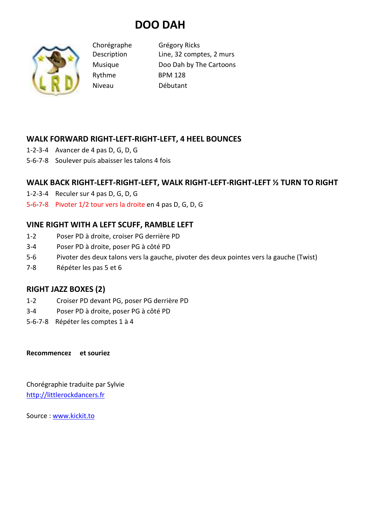# **DOO DAH**



Chorégraphe Grégory Ricks Description Line, 32 comptes, 2 murs Musique Doo Dah by The Cartoons Rythme BPM 128 Niveau Débutant

## **WALK FORWARD RIGHT-LEFT-RIGHT-LEFT, 4 HEEL BOUNCES**

- 1-2-3-4 Avancer de 4 pas D, G, D, G
- 5-6-7-8 Soulever puis abaisser les talons 4 fois

## **WALK BACK RIGHT-LEFT-RIGHT-LEFT, WALK RIGHT-LEFT-RIGHT-LEFT ½ TURN TO RIGHT**

- 1-2-3-4 Reculer sur 4 pas D, G, D, G
- 5-6-7-8 Pivoter 1/2 tour vers la droite en 4 pas D, G, D, G

## **VINE RIGHT WITH A LEFT SCUFF, RAMBLE LEFT**

- 1-2 Poser PD à droite, croiser PG derrière PD
- 3-4 Poser PD à droite, poser PG à côté PD
- 5-6 Pivoter des deux talons vers la gauche, pivoter des deux pointes vers la gauche (Twist)
- 7-8 Répéter les pas 5 et 6

#### **RIGHT JAZZ BOXES (2)**

- 1-2 Croiser PD devant PG, poser PG derrière PD
- 3-4 Poser PD à droite, poser PG à côté PD
- 5-6-7-8 Répéter les comptes 1 à 4

**Recommencez et souriez** 

Chorégraphie traduite par Sylvie http://littlerockdancers.fr

Source : www.kickit.to